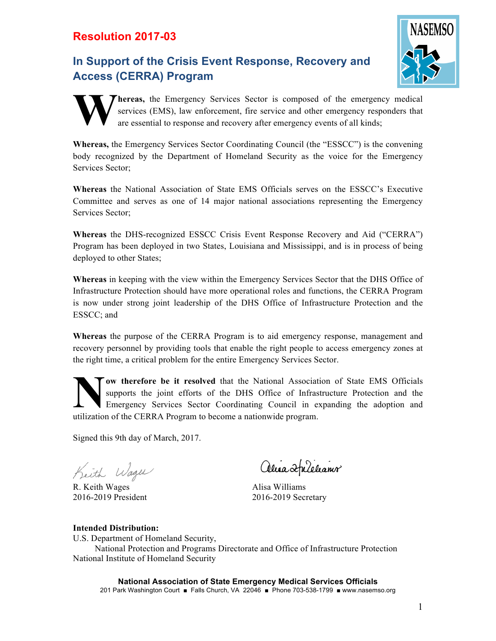## **Resolution 2017-03**

## **In Support of the Crisis Event Response, Recovery and Access (CERRA) Program**





**hereas,** the Emergency Services Sector is composed of the emergency medical services (EMS), law enforcement, fire service and other emergency responders that are essential to response and recovery after emergency events of all kinds;

**Whereas,** the Emergency Services Sector Coordinating Council (the "ESSCC") is the convening body recognized by the Department of Homeland Security as the voice for the Emergency Services Sector;

**Whereas** the National Association of State EMS Officials serves on the ESSCC's Executive Committee and serves as one of 14 major national associations representing the Emergency Services Sector;

**Whereas** the DHS-recognized ESSCC Crisis Event Response Recovery and Aid ("CERRA") Program has been deployed in two States, Louisiana and Mississippi, and is in process of being deployed to other States;

**Whereas** in keeping with the view within the Emergency Services Sector that the DHS Office of Infrastructure Protection should have more operational roles and functions, the CERRA Program is now under strong joint leadership of the DHS Office of Infrastructure Protection and the ESSCC; and

**Whereas** the purpose of the CERRA Program is to aid emergency response, management and recovery personnel by providing tools that enable the right people to access emergency zones at the right time, a critical problem for the entire Emergency Services Sector.

**ow therefore be it resolved** that the National Association of State EMS Officials supports the joint efforts of the DHS Office of Infrastructure Protection and the Emergency Services Sector Coordinating Council in expanding the adoption and utilization of the CERRA Program to become a nationwide program. **N**

Signed this 9th day of March, 2017.

Keith Wager

R. Keith Wages 2016-2019 President

Alisa Aplelianir

Alisa Williams 2016-2019 Secretary

## **Intended Distribution:**

U.S. Department of Homeland Security,

National Protection and Programs Directorate and Office of Infrastructure Protection National Institute of Homeland Security

**National Association of State Emergency Medical Services Officials** 201 Park Washington Court ■ Falls Church, VA 22046 ■ Phone 703-538-1799 ■ www.nasemso.org